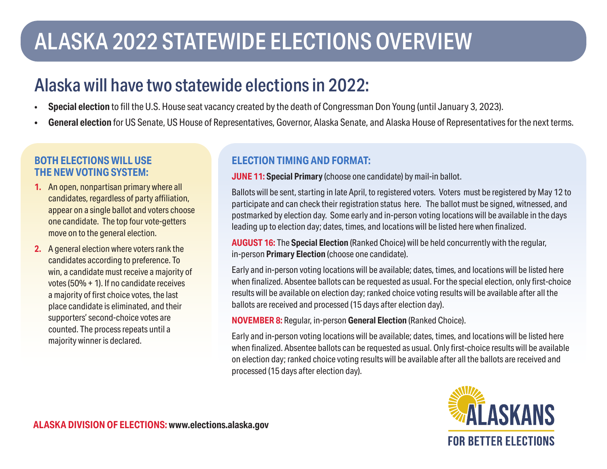# ALASKA 2022 STATEWIDE ELECTIONS OVERVIEW

## Alaska will have two statewide elections in 2022:

- **Special election** to fill the U.S. House seat vacancy created by the death of Congressman Don Young (until January 3, 2023).
- **General election** for US Senate, US House of Representatives, Governor, Alaska Senate, and Alaska House of Representatives for the next terms.

#### **BOTH ELECTIONS WILL USE THE NEW VOTING SYSTEM:**

- **1.** An open, nonpartisan primary where all candidates, regardless of party affiliation, appear on a single ballot and voters choose one candidate. The top four vote-getters move on to the general election.
- **2.** A general election where voters rank the candidates according to preference. To win, a candidate must receive a majority of votes (50% + 1). If no candidate receives a majority of first choice votes, the last place candidate is eliminated, and their supporters' second-choice votes are counted. The process repeats until a majority winner is declared.

### **ELECTION TIMING AND FORMAT:**

**JUNE 11: Special Primary** (choose one candidate) by mail-in ballot.

Ballots will be sent, starting in late April, to registered voters. Voters must be registered by May 12 to participate and can check their registration status here. The ballot must be signed, witnessed, and postmarked by election day. Some early and in-person voting locations will be available in the days leading up to election day; dates, times, and locations will be listed here when finalized.

**AUGUST 16:** The **Special Election** (Ranked Choice) will be held concurrently with the regular, in-person **Primary Election** (choose one candidate).

Early and in-person voting locations will be available; dates, times, and locations will be listed here when finalized. Absentee ballots can be requested as usual. For the special election, only first-choice results will be available on election day; ranked choice voting results will be available after all the ballots are received and processed (15 days after election day).

**NOVEMBER 8:** Regular, in-person **General Election** (Ranked Choice).

Early and in-person voting locations will be available; dates, times, and locations will be listed here when finalized. Absentee ballots can be requested as usual. Only first-choice results will be available on election day; ranked choice voting results will be available after all the ballots are received and processed (15 days after election day).